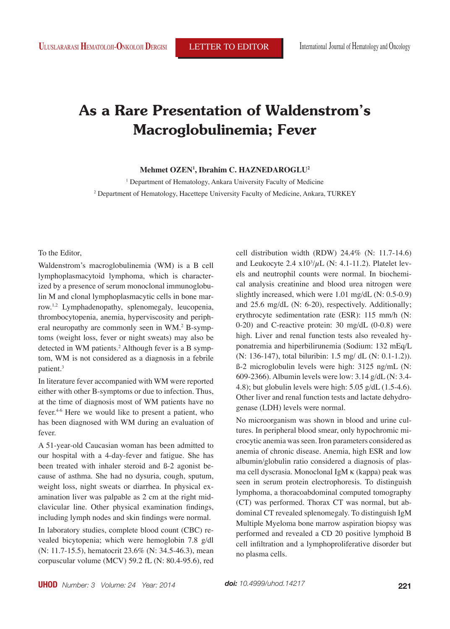# **As a Rare Presentation of Waldenstrom's Macroglobulinemia; Fever**

### **Mehmet OZEN1 , Ibrahim C. HAZNEDAROGLU2**

<sup>1</sup> Department of Hematology, Ankara University Faculty of Medicine <sup>2</sup> Department of Hematology, Hacettepe University Faculty of Medicine, Ankara, TURKEY

To the Editor,

Waldenstrom's macroglobulinemia (WM) is a B cell lymphoplasmacytoid lymphoma, which is characterized by a presence of serum monoclonal immunoglobulin M and clonal lymphoplasmacytic cells in bone marrow.1,2 Lymphadenopathy, splenomegaly, leucopenia, thrombocytopenia, anemia, hyperviscosity and peripheral neuropathy are commonly seen in WM.<sup>2</sup> B-symptoms (weight loss, fever or night sweats) may also be detected in WM patients.2 Although fever is a B symptom, WM is not considered as a diagnosis in a febrile patient.<sup>3</sup>

In literature fever accompanied with WM were reported either with other B-symptoms or due to infection. Thus, at the time of diagnosis most of WM patients have no fever.4-6 Here we would like to present a patient, who has been diagnosed with WM during an evaluation of fever.

A 51-year-old Caucasian woman has been admitted to our hospital with a 4-day-fever and fatigue. She has been treated with inhaler steroid and ß-2 agonist because of asthma. She had no dysuria, cough, sputum, weight loss, night sweats or diarrhea. In physical examination liver was palpable as 2 cm at the right midclavicular line. Other physical examination findings, including lymph nodes and skin findings were normal.

In laboratory studies, complete blood count (CBC) revealed bicytopenia; which were hemoglobin 7.8 g/dl (N: 11.7-15.5), hematocrit 23.6% (N: 34.5-46.3), mean corpuscular volume (MCV) 59.2 fL (N: 80.4-95.6), red cell distribution width (RDW) 24.4% (N: 11.7-14.6) and Leukocyte  $2.4 \times 10^3/\mu$ L (N: 4.1-11.2). Platelet levels and neutrophil counts were normal. In biochemical analysis creatinine and blood urea nitrogen were slightly increased, which were 1.01 mg/dL (N: 0.5-0.9) and 25.6 mg/dL (N: 6-20), respectively. Additionally; erythrocyte sedimentation rate (ESR): 115 mm/h (N: 0-20) and C-reactive protein: 30 mg/dL (0-0.8) were high. Liver and renal function tests also revealed hyponatremia and hiperbilirunemia (Sodium: 132 mEq/L (N: 136-147), total biluribin: 1.5 mg/ dL (N: 0.1-1.2)). ß-2 microglobulin levels were high: 3125 ng/mL (N: 609-2366). Albumin levels were low: 3.14 g/dL (N: 3.4- 4.8); but globulin levels were high: 5.05 g/dL (1.5-4.6). Other liver and renal function tests and lactate dehydrogenase (LDH) levels were normal.

No microorganism was shown in blood and urine cultures. In peripheral blood smear, only hypochromic microcytic anemia was seen. Iron parameters considered as anemia of chronic disease. Anemia, high ESR and low albumin/globulin ratio considered a diagnosis of plasma cell dyscrasia. Monoclonal IgM  $\kappa$  (kappa) peak was seen in serum protein electrophoresis. To distinguish lymphoma, a thoracoabdominal computed tomography (CT) was performed. Thorax CT was normal, but abdominal CT revealed splenomegaly. To distinguish IgM Multiple Myeloma bone marrow aspiration biopsy was performed and revealed a CD 20 positive lymphoid B cell infiltration and a lymphoproliferative disorder but no plasma cells.